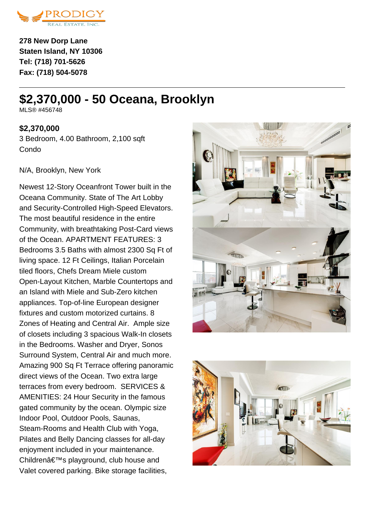

**278 New Dorp Lane Staten Island, NY 10306 Tel: (718) 701-5626 Fax: (718) 504-5078**

# **\$2,370,000 - 50 Oceana, Brooklyn**

MI S® #456748

### **\$2,370,000**

3 Bedroom, 4.00 Bathroom, 2,100 sqft Condo

#### N/A, Brooklyn, New York

Newest 12-Story Oceanfront Tower built in the Oceana Community. State of The Art Lobby and Security-Controlled High-Speed Elevators. The most beautiful residence in the entire Community, with breathtaking Post-Card views of the Ocean. APARTMENT FEATURES: 3 Bedrooms 3.5 Baths with almost 2300 Sq Ft of living space. 12 Ft Ceilings, Italian Porcelain tiled floors, Chefs Dream Miele custom Open-Layout Kitchen, Marble Countertops and an Island with Miele and Sub-Zero kitchen appliances. Top-of-line European designer fixtures and custom motorized curtains. 8 Zones of Heating and Central Air. Ample size of closets including 3 spacious Walk-In closets in the Bedrooms. Washer and Dryer, Sonos Surround System, Central Air and much more. Amazing 900 Sq Ft Terrace offering panoramic direct views of the Ocean. Two extra large terraces from every bedroom. SERVICES & AMENITIES: 24 Hour Security in the famous gated community by the ocean. Olympic size Indoor Pool, Outdoor Pools, Saunas, Steam-Rooms and Health Club with Yoga, Pilates and Belly Dancing classes for all-day enjoyment included in your maintenance. Children's playground, club house and Valet covered parking. Bike storage facilities,



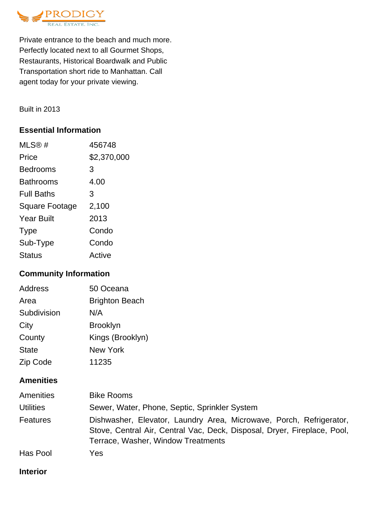

Private entrance to the beach and much more. Perfectly located next to all Gourmet Shops, Restaurants, Historical Boardwalk and Public Transportation short ride to Manhattan. Call agent today for your private viewing.

Built in 2013

# **Essential Information**

| MLS®#                 | 456748      |
|-----------------------|-------------|
| Price                 | \$2,370,000 |
| <b>Bedrooms</b>       | 3           |
| Bathrooms             | 4.00        |
| <b>Full Baths</b>     | 3           |
| <b>Square Footage</b> | 2,100       |
| <b>Year Built</b>     | 2013        |
| <b>Type</b>           | Condo       |
| Sub-Type              | Condo       |
| <b>Status</b>         | Active      |

# **Community Information**

| Address      | 50 Oceana             |
|--------------|-----------------------|
| Area         | <b>Brighton Beach</b> |
| Subdivision  | N/A                   |
| City         | <b>Brooklyn</b>       |
| County       | Kings (Brooklyn)      |
| <b>State</b> | <b>New York</b>       |
| Zip Code     | 11235                 |

# **Amenities**

| Amenities        | <b>Bike Rooms</b>                                                                                                                                                                     |
|------------------|---------------------------------------------------------------------------------------------------------------------------------------------------------------------------------------|
| <b>Utilities</b> | Sewer, Water, Phone, Septic, Sprinkler System                                                                                                                                         |
| Features         | Dishwasher, Elevator, Laundry Area, Microwave, Porch, Refrigerator,<br>Stove, Central Air, Central Vac, Deck, Disposal, Dryer, Fireplace, Pool,<br>Terrace, Washer, Window Treatments |
| Has Pool         | Yes                                                                                                                                                                                   |

#### **Interior**